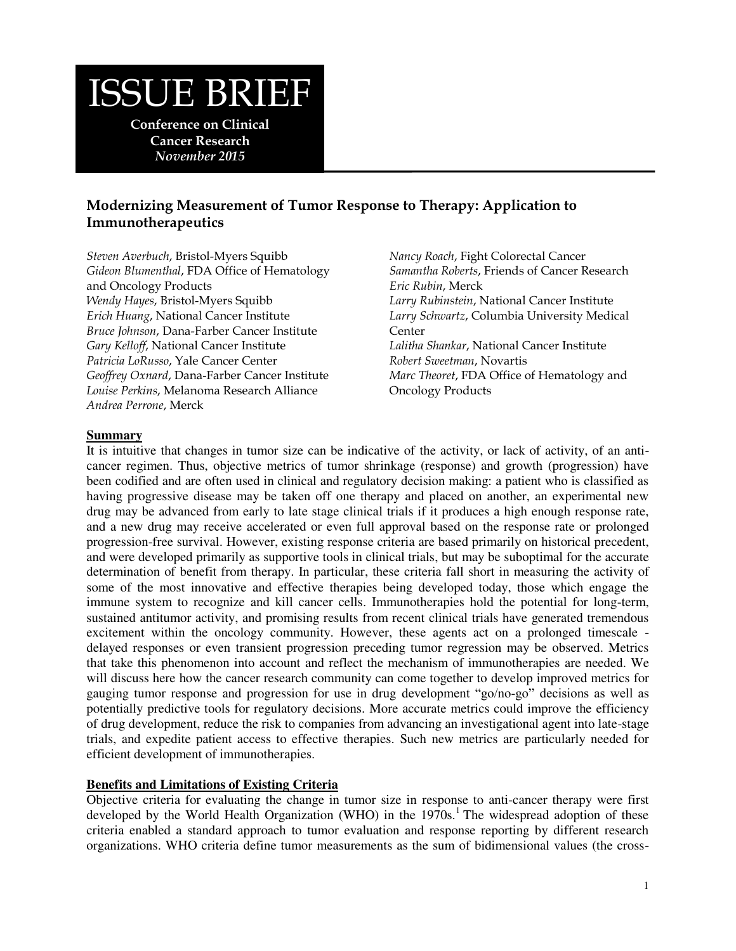# ISSUE BRIEF

**Conference on Clinical Cancer Research**  *November 2015* 

# **Modernizing Measurement of Tumor Response to Therapy: Application to Immunotherapeutics**

*Steven Averbuch*, Bristol-Myers Squibb *Gideon Blumenthal*, FDA Office of Hematology and Oncology Products *Wendy Hayes*, Bristol-Myers Squibb *Erich Huang*, National Cancer Institute *Bruce Johnson*, Dana-Farber Cancer Institute *Gary Kelloff*, National Cancer Institute *Patricia LoRusso*, Yale Cancer Center *Geoffrey Oxnard*, Dana-Farber Cancer Institute *Louise Perkins*, Melanoma Research Alliance *Andrea Perrone*, Merck

*Nancy Roach*, Fight Colorectal Cancer *Samantha Roberts*, Friends of Cancer Research *Eric Rubin*, Merck *Larry Rubinstein*, National Cancer Institute *Larry Schwartz*, Columbia University Medical Center *Lalitha Shankar*, National Cancer Institute *Robert Sweetman*, Novartis *Marc Theoret*, FDA Office of Hematology and Oncology Products

## **Summary**

It is intuitive that changes in tumor size can be indicative of the activity, or lack of activity, of an anticancer regimen. Thus, objective metrics of tumor shrinkage (response) and growth (progression) have been codified and are often used in clinical and regulatory decision making: a patient who is classified as having progressive disease may be taken off one therapy and placed on another, an experimental new drug may be advanced from early to late stage clinical trials if it produces a high enough response rate, and a new drug may receive accelerated or even full approval based on the response rate or prolonged progression-free survival. However, existing response criteria are based primarily on historical precedent, and were developed primarily as supportive tools in clinical trials, but may be suboptimal for the accurate determination of benefit from therapy. In particular, these criteria fall short in measuring the activity of some of the most innovative and effective therapies being developed today, those which engage the immune system to recognize and kill cancer cells. Immunotherapies hold the potential for long-term, sustained antitumor activity, and promising results from recent clinical trials have generated tremendous excitement within the oncology community. However, these agents act on a prolonged timescale delayed responses or even transient progression preceding tumor regression may be observed. Metrics that take this phenomenon into account and reflect the mechanism of immunotherapies are needed. We will discuss here how the cancer research community can come together to develop improved metrics for gauging tumor response and progression for use in drug development "go/no-go" decisions as well as potentially predictive tools for regulatory decisions. More accurate metrics could improve the efficiency of drug development, reduce the risk to companies from advancing an investigational agent into late-stage trials, and expedite patient access to effective therapies. Such new metrics are particularly needed for efficient development of immunotherapies.

#### **Benefits and Limitations of Existing Criteria**

Objective criteria for evaluating the change in tumor size in response to anti-cancer therapy were first developed by the World Health Organization (WHO) in the  $1970s$ .<sup>1</sup> The widespread adoption of these criteria enabled a standard approach to tumor evaluation and response reporting by different research organizations. WHO criteria define tumor measurements as the sum of bidimensional values (the cross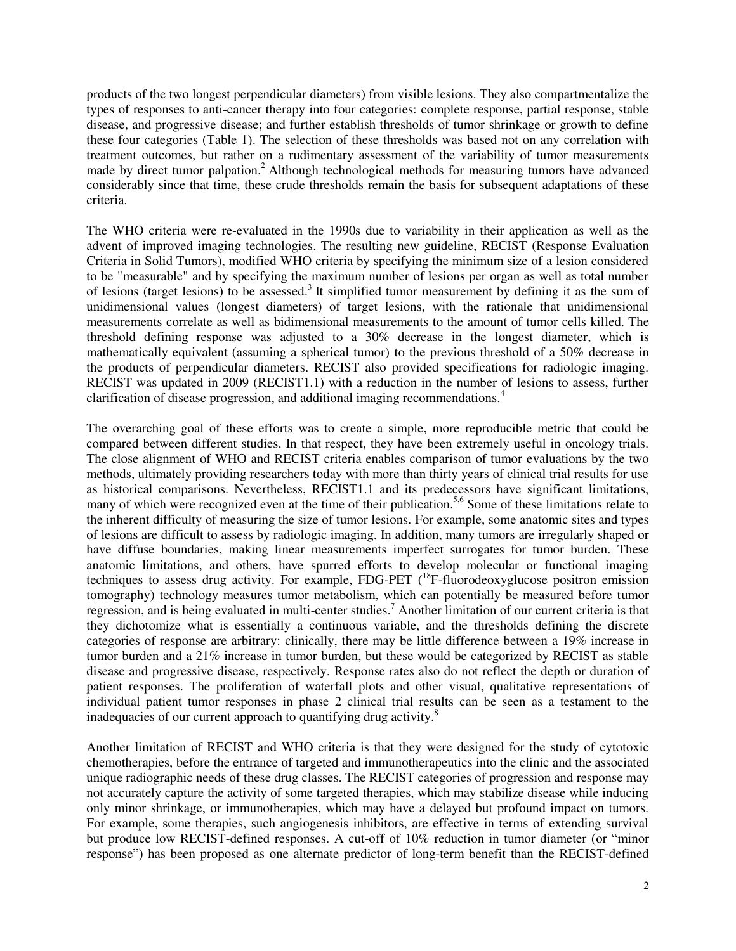products of the two longest perpendicular diameters) from visible lesions. They also compartmentalize the types of responses to anti-cancer therapy into four categories: complete response, partial response, stable disease, and progressive disease; and further establish thresholds of tumor shrinkage or growth to define these four categories (Table 1). The selection of these thresholds was based not on any correlation with treatment outcomes, but rather on a rudimentary assessment of the variability of tumor measurements made by direct tumor palpation.<sup>2</sup> Although technological methods for measuring tumors have advanced considerably since that time, these crude thresholds remain the basis for subsequent adaptations of these criteria.

The WHO criteria were re-evaluated in the 1990s due to variability in their application as well as the advent of improved imaging technologies. The resulting new guideline, RECIST (Response Evaluation Criteria in Solid Tumors), modified WHO criteria by specifying the minimum size of a lesion considered to be "measurable" and by specifying the maximum number of lesions per organ as well as total number of lesions (target lesions) to be assessed.<sup>3</sup> It simplified tumor measurement by defining it as the sum of unidimensional values (longest diameters) of target lesions, with the rationale that unidimensional measurements correlate as well as bidimensional measurements to the amount of tumor cells killed. The threshold defining response was adjusted to a 30% decrease in the longest diameter, which is mathematically equivalent (assuming a spherical tumor) to the previous threshold of a 50% decrease in the products of perpendicular diameters. RECIST also provided specifications for radiologic imaging. RECIST was updated in 2009 (RECIST1.1) with a reduction in the number of lesions to assess, further clarification of disease progression, and additional imaging recommendations.<sup>4</sup>

The overarching goal of these efforts was to create a simple, more reproducible metric that could be compared between different studies. In that respect, they have been extremely useful in oncology trials. The close alignment of WHO and RECIST criteria enables comparison of tumor evaluations by the two methods, ultimately providing researchers today with more than thirty years of clinical trial results for use as historical comparisons. Nevertheless, RECIST1.1 and its predecessors have significant limitations, many of which were recognized even at the time of their publication.<sup>5,6</sup> Some of these limitations relate to the inherent difficulty of measuring the size of tumor lesions. For example, some anatomic sites and types of lesions are difficult to assess by radiologic imaging. In addition, many tumors are irregularly shaped or have diffuse boundaries, making linear measurements imperfect surrogates for tumor burden. These anatomic limitations, and others, have spurred efforts to develop molecular or functional imaging techniques to assess drug activity. For example, FDG-PET  $(^{18}F$ -fluorodeoxyglucose positron emission tomography) technology measures tumor metabolism, which can potentially be measured before tumor regression, and is being evaluated in multi-center studies.<sup>7</sup> Another limitation of our current criteria is that they dichotomize what is essentially a continuous variable, and the thresholds defining the discrete categories of response are arbitrary: clinically, there may be little difference between a 19% increase in tumor burden and a 21% increase in tumor burden, but these would be categorized by RECIST as stable disease and progressive disease, respectively. Response rates also do not reflect the depth or duration of patient responses. The proliferation of waterfall plots and other visual, qualitative representations of individual patient tumor responses in phase 2 clinical trial results can be seen as a testament to the inadequacies of our current approach to quantifying drug activity.<sup>8</sup>

Another limitation of RECIST and WHO criteria is that they were designed for the study of cytotoxic chemotherapies, before the entrance of targeted and immunotherapeutics into the clinic and the associated unique radiographic needs of these drug classes. The RECIST categories of progression and response may not accurately capture the activity of some targeted therapies, which may stabilize disease while inducing only minor shrinkage, or immunotherapies, which may have a delayed but profound impact on tumors. For example, some therapies, such angiogenesis inhibitors, are effective in terms of extending survival but produce low RECIST-defined responses. A cut-off of 10% reduction in tumor diameter (or "minor response") has been proposed as one alternate predictor of long-term benefit than the RECIST-defined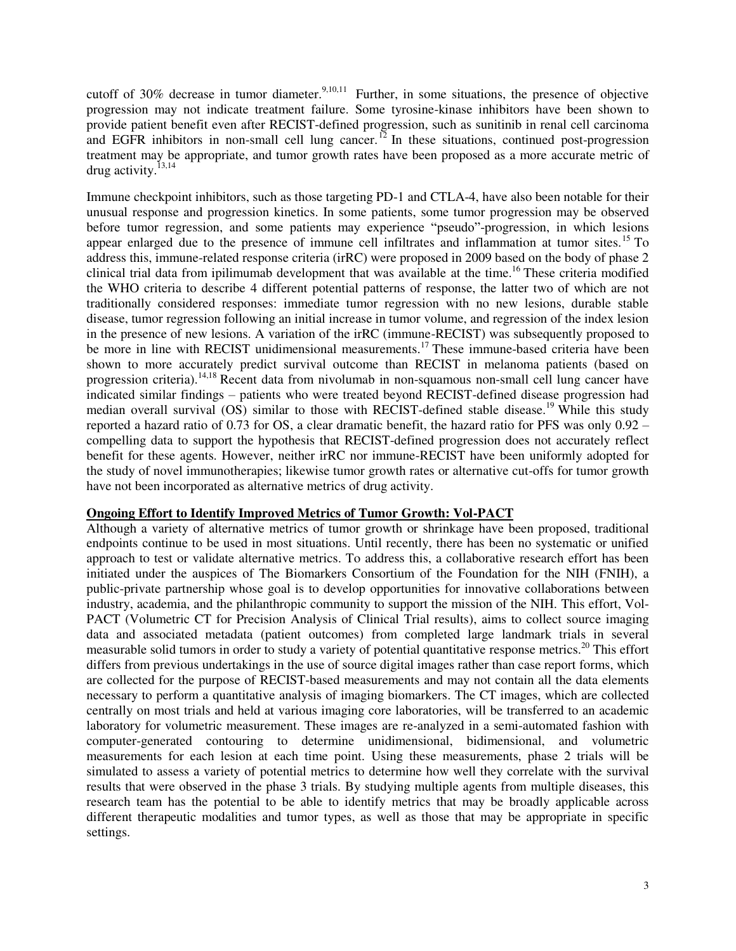cutoff of 30% decrease in tumor diameter.<sup>9,10,11</sup> Further, in some situations, the presence of objective progression may not indicate treatment failure. Some tyrosine-kinase inhibitors have been shown to provide patient benefit even after RECIST-defined progression, such as sunitinib in renal cell carcinoma and EGFR inhibitors in non-small cell lung cancer.<sup>12</sup> In these situations, continued post-progression treatment may be appropriate, and tumor growth rates have been proposed as a more accurate metric of drug activity.<sup>13,14</sup>

Immune checkpoint inhibitors, such as those targeting PD-1 and CTLA-4, have also been notable for their unusual response and progression kinetics. In some patients, some tumor progression may be observed before tumor regression, and some patients may experience "pseudo"-progression, in which lesions appear enlarged due to the presence of immune cell infiltrates and inflammation at tumor sites.<sup>15</sup> To address this, immune-related response criteria (irRC) were proposed in 2009 based on the body of phase 2 clinical trial data from ipilimumab development that was available at the time.<sup>16</sup> These criteria modified the WHO criteria to describe 4 different potential patterns of response, the latter two of which are not traditionally considered responses: immediate tumor regression with no new lesions, durable stable disease, tumor regression following an initial increase in tumor volume, and regression of the index lesion in the presence of new lesions. A variation of the irRC (immune-RECIST) was subsequently proposed to be more in line with RECIST unidimensional measurements.<sup>17</sup> These immune-based criteria have been shown to more accurately predict survival outcome than RECIST in melanoma patients (based on progression criteria).14,18 Recent data from nivolumab in non-squamous non-small cell lung cancer have indicated similar findings – patients who were treated beyond RECIST-defined disease progression had median overall survival (OS) similar to those with RECIST-defined stable disease.<sup>19</sup> While this study reported a hazard ratio of 0.73 for OS, a clear dramatic benefit, the hazard ratio for PFS was only 0.92 – compelling data to support the hypothesis that RECIST-defined progression does not accurately reflect benefit for these agents. However, neither irRC nor immune-RECIST have been uniformly adopted for the study of novel immunotherapies; likewise tumor growth rates or alternative cut-offs for tumor growth have not been incorporated as alternative metrics of drug activity.

#### **Ongoing Effort to Identify Improved Metrics of Tumor Growth: Vol-PACT**

Although a variety of alternative metrics of tumor growth or shrinkage have been proposed, traditional endpoints continue to be used in most situations. Until recently, there has been no systematic or unified approach to test or validate alternative metrics. To address this, a collaborative research effort has been initiated under the auspices of The Biomarkers Consortium of the Foundation for the NIH (FNIH), a public-private partnership whose goal is to develop opportunities for innovative collaborations between industry, academia, and the philanthropic community to support the mission of the NIH. This effort, Vol-PACT (Volumetric CT for Precision Analysis of Clinical Trial results), aims to collect source imaging data and associated metadata (patient outcomes) from completed large landmark trials in several measurable solid tumors in order to study a variety of potential quantitative response metrics.<sup>20</sup> This effort differs from previous undertakings in the use of source digital images rather than case report forms, which are collected for the purpose of RECIST-based measurements and may not contain all the data elements necessary to perform a quantitative analysis of imaging biomarkers. The CT images, which are collected centrally on most trials and held at various imaging core laboratories, will be transferred to an academic laboratory for volumetric measurement. These images are re-analyzed in a semi-automated fashion with computer-generated contouring to determine unidimensional, bidimensional, and volumetric measurements for each lesion at each time point. Using these measurements, phase 2 trials will be simulated to assess a variety of potential metrics to determine how well they correlate with the survival results that were observed in the phase 3 trials. By studying multiple agents from multiple diseases, this research team has the potential to be able to identify metrics that may be broadly applicable across different therapeutic modalities and tumor types, as well as those that may be appropriate in specific settings.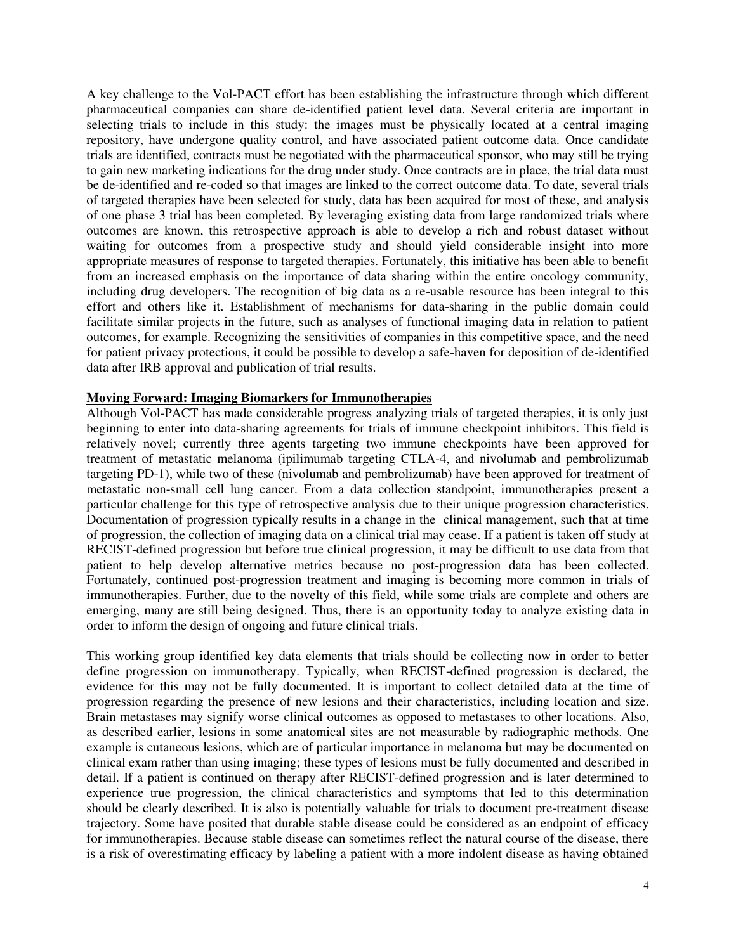A key challenge to the Vol-PACT effort has been establishing the infrastructure through which different pharmaceutical companies can share de-identified patient level data. Several criteria are important in selecting trials to include in this study: the images must be physically located at a central imaging repository, have undergone quality control, and have associated patient outcome data. Once candidate trials are identified, contracts must be negotiated with the pharmaceutical sponsor, who may still be trying to gain new marketing indications for the drug under study. Once contracts are in place, the trial data must be de-identified and re-coded so that images are linked to the correct outcome data. To date, several trials of targeted therapies have been selected for study, data has been acquired for most of these, and analysis of one phase 3 trial has been completed. By leveraging existing data from large randomized trials where outcomes are known, this retrospective approach is able to develop a rich and robust dataset without waiting for outcomes from a prospective study and should yield considerable insight into more appropriate measures of response to targeted therapies. Fortunately, this initiative has been able to benefit from an increased emphasis on the importance of data sharing within the entire oncology community, including drug developers. The recognition of big data as a re-usable resource has been integral to this effort and others like it. Establishment of mechanisms for data-sharing in the public domain could facilitate similar projects in the future, such as analyses of functional imaging data in relation to patient outcomes, for example. Recognizing the sensitivities of companies in this competitive space, and the need for patient privacy protections, it could be possible to develop a safe-haven for deposition of de-identified data after IRB approval and publication of trial results.

## **Moving Forward: Imaging Biomarkers for Immunotherapies**

Although Vol-PACT has made considerable progress analyzing trials of targeted therapies, it is only just beginning to enter into data-sharing agreements for trials of immune checkpoint inhibitors. This field is relatively novel; currently three agents targeting two immune checkpoints have been approved for treatment of metastatic melanoma (ipilimumab targeting CTLA-4, and nivolumab and pembrolizumab targeting PD-1), while two of these (nivolumab and pembrolizumab) have been approved for treatment of metastatic non-small cell lung cancer. From a data collection standpoint, immunotherapies present a particular challenge for this type of retrospective analysis due to their unique progression characteristics. Documentation of progression typically results in a change in the clinical management, such that at time of progression, the collection of imaging data on a clinical trial may cease. If a patient is taken off study at RECIST-defined progression but before true clinical progression, it may be difficult to use data from that patient to help develop alternative metrics because no post-progression data has been collected. Fortunately, continued post-progression treatment and imaging is becoming more common in trials of immunotherapies. Further, due to the novelty of this field, while some trials are complete and others are emerging, many are still being designed. Thus, there is an opportunity today to analyze existing data in order to inform the design of ongoing and future clinical trials.

This working group identified key data elements that trials should be collecting now in order to better define progression on immunotherapy. Typically, when RECIST-defined progression is declared, the evidence for this may not be fully documented. It is important to collect detailed data at the time of progression regarding the presence of new lesions and their characteristics, including location and size. Brain metastases may signify worse clinical outcomes as opposed to metastases to other locations. Also, as described earlier, lesions in some anatomical sites are not measurable by radiographic methods. One example is cutaneous lesions, which are of particular importance in melanoma but may be documented on clinical exam rather than using imaging; these types of lesions must be fully documented and described in detail. If a patient is continued on therapy after RECIST-defined progression and is later determined to experience true progression, the clinical characteristics and symptoms that led to this determination should be clearly described. It is also is potentially valuable for trials to document pre-treatment disease trajectory. Some have posited that durable stable disease could be considered as an endpoint of efficacy for immunotherapies. Because stable disease can sometimes reflect the natural course of the disease, there is a risk of overestimating efficacy by labeling a patient with a more indolent disease as having obtained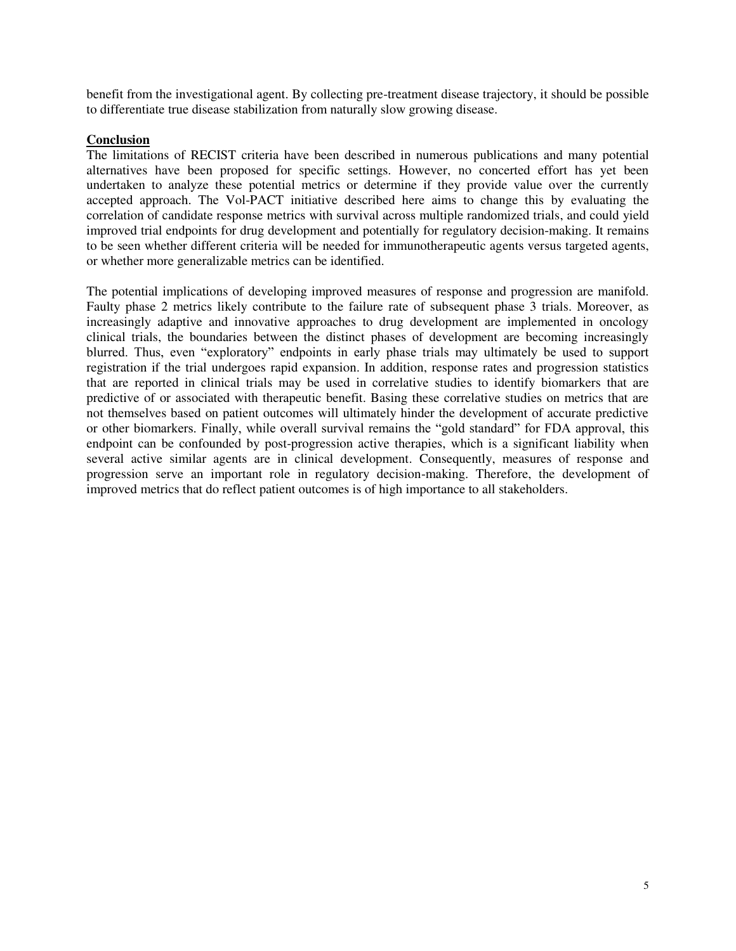benefit from the investigational agent. By collecting pre-treatment disease trajectory, it should be possible to differentiate true disease stabilization from naturally slow growing disease.

## **Conclusion**

The limitations of RECIST criteria have been described in numerous publications and many potential alternatives have been proposed for specific settings. However, no concerted effort has yet been undertaken to analyze these potential metrics or determine if they provide value over the currently accepted approach. The Vol-PACT initiative described here aims to change this by evaluating the correlation of candidate response metrics with survival across multiple randomized trials, and could yield improved trial endpoints for drug development and potentially for regulatory decision-making. It remains to be seen whether different criteria will be needed for immunotherapeutic agents versus targeted agents, or whether more generalizable metrics can be identified.

The potential implications of developing improved measures of response and progression are manifold. Faulty phase 2 metrics likely contribute to the failure rate of subsequent phase 3 trials. Moreover, as increasingly adaptive and innovative approaches to drug development are implemented in oncology clinical trials, the boundaries between the distinct phases of development are becoming increasingly blurred. Thus, even "exploratory" endpoints in early phase trials may ultimately be used to support registration if the trial undergoes rapid expansion. In addition, response rates and progression statistics that are reported in clinical trials may be used in correlative studies to identify biomarkers that are predictive of or associated with therapeutic benefit. Basing these correlative studies on metrics that are not themselves based on patient outcomes will ultimately hinder the development of accurate predictive or other biomarkers. Finally, while overall survival remains the "gold standard" for FDA approval, this endpoint can be confounded by post-progression active therapies, which is a significant liability when several active similar agents are in clinical development. Consequently, measures of response and progression serve an important role in regulatory decision-making. Therefore, the development of improved metrics that do reflect patient outcomes is of high importance to all stakeholders.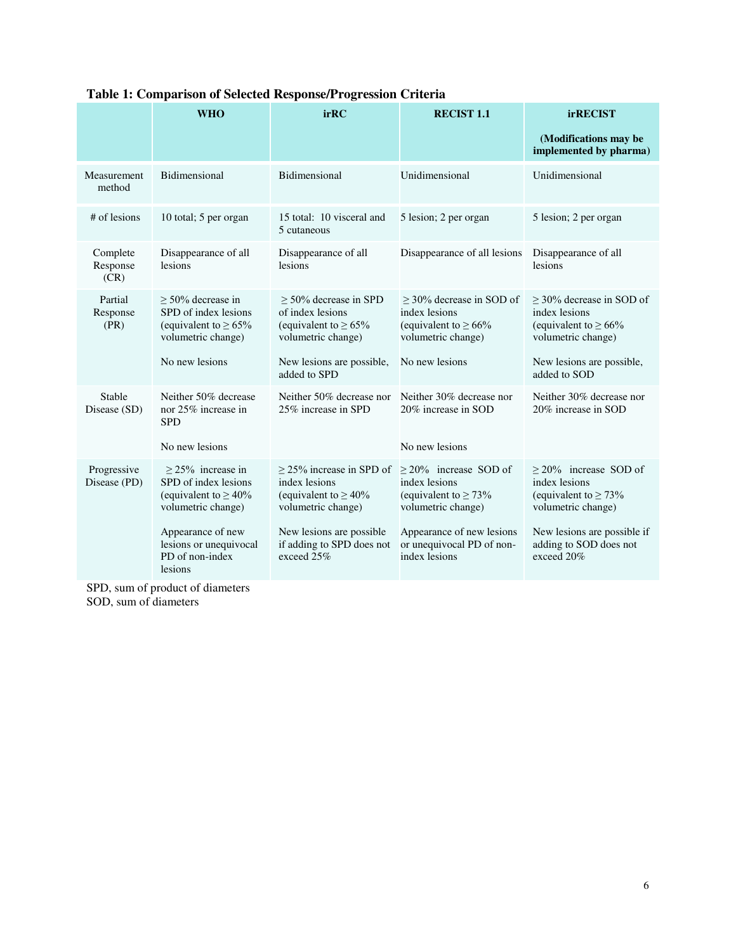|                              | <b>WHO</b>                                                                                       | irRC                                                                                               | <b>RECIST 1.1</b>                                                                               | <b>irRECIST</b>                                                                                 |
|------------------------------|--------------------------------------------------------------------------------------------------|----------------------------------------------------------------------------------------------------|-------------------------------------------------------------------------------------------------|-------------------------------------------------------------------------------------------------|
|                              |                                                                                                  |                                                                                                    |                                                                                                 | (Modifications may be<br>implemented by pharma)                                                 |
| Measurement<br>method        | Bidimensional                                                                                    | Bidimensional                                                                                      | Unidimensional                                                                                  | Unidimensional                                                                                  |
| # of lesions                 | 10 total; 5 per organ                                                                            | 15 total: 10 visceral and<br>5 cutaneous                                                           | 5 lesion; 2 per organ                                                                           | 5 lesion; 2 per organ                                                                           |
| Complete<br>Response<br>(CR) | Disappearance of all<br>lesions                                                                  | Disappearance of all<br>lesions                                                                    | Disappearance of all lesions                                                                    | Disappearance of all<br>lesions                                                                 |
| Partial<br>Response<br>(PR)  | $> 50\%$ decrease in<br>SPD of index lesions<br>(equivalent to $\geq 65\%$<br>volumetric change) | $> 50\%$ decrease in SPD<br>of index lesions<br>(equivalent to $\geq 65\%$<br>volumetric change)   | $>$ 30% decrease in SOD of<br>index lesions<br>(equivalent to $\geq 66\%$<br>volumetric change) | $>$ 30% decrease in SOD of<br>index lesions<br>(equivalent to $\geq 66\%$<br>volumetric change) |
|                              | No new lesions                                                                                   | New lesions are possible,<br>added to SPD                                                          | No new lesions                                                                                  | New lesions are possible,<br>added to SOD                                                       |
| Stable<br>Disease (SD)       | Neither 50% decrease<br>nor 25% increase in<br><b>SPD</b>                                        | Neither 50% decrease nor<br>25% increase in SPD                                                    | Neither 30% decrease nor<br>20% increase in SOD                                                 | Neither 30% decrease nor<br>20% increase in SOD                                                 |
|                              | No new lesions                                                                                   |                                                                                                    | No new lesions                                                                                  |                                                                                                 |
| Progressive<br>Disease (PD)  | $>$ 25% increase in<br>SPD of index lesions<br>(equivalent to $\geq 40\%$<br>volumetric change)  | $\geq$ 25% increase in SPD of<br>index lesions<br>(equivalent to $\geq 40\%$<br>volumetric change) | $\geq$ 20% increase SOD of<br>index lesions<br>(equivalent to $\geq$ 73%<br>volumetric change)  | $\geq$ 20% increase SOD of<br>index lesions<br>(equivalent to $\geq$ 73%<br>volumetric change)  |
|                              | Appearance of new<br>lesions or unequivocal<br>PD of non-index<br>lesions                        | New lesions are possible<br>if adding to SPD does not<br>exceed 25%                                | Appearance of new lesions<br>or unequivocal PD of non-<br>index lesions                         | New lesions are possible if<br>adding to SOD does not<br>exceed 20%                             |

# **Table 1: Comparison of Selected Response/Progression Criteria**

SPD, sum of product of diameters SOD, sum of diameters